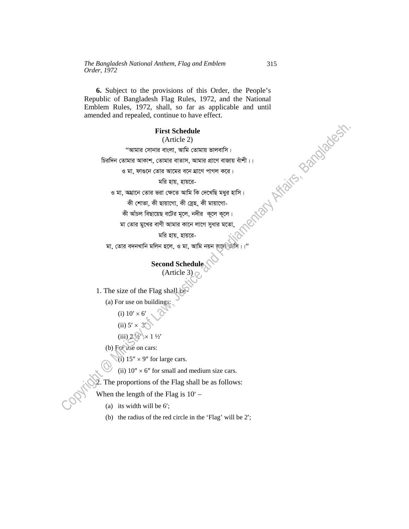**6.** Subject to the provisions of this Order, the People's Republic of Bangladesh Flag Rules, 1972, and the National Emblem Rules, 1972, shall, so far as applicable and until amended and repealed, continue to have effect. and Minister Bandadesh.

## **First Schedule**

(Article 2)

"আমার সোনার বাংলা, আমি তোমায় ভালবাসি।

চিরদিন তোমার আকাশ, তোমার বাতাস, আমার প্রাণে বাজায় বাঁশী।।

ও মা, ফাগুনে তোর আমের বনে ঘাণে পাগল করে।

মরি হায়, হায়রে-

ও মা, অঘানে তোর ভরা ক্ষেতে আমি কি দেখেছি মধর হাসি।

কী শোভা, কী ছায়াগো, কী স্নেহ, কী মায়াগো-

কী আঁচল বিছায়েছ বটের মূলে, নদীর কূলে কূলে।

মা তোর মুখের বাণী আমার কানে লাগে সুধার মতে

মরি হায়, হায়রে-

মা, তোর বদনখানি মলিন হলে, ও মা, আমি নয়ন

## **Second Schedule**

(Article 3)

1. The size of the Flag shall be-

(a) For use on buildings:

- (i)  $10' \times 6'$
- (ii)  $5' \times 3'$

(iii)  $2\sqrt[3]{\times}1\sqrt[1]{2}$ 

- (b) For use on cars:
	- (i)  $15'' \times 9''$  for large cars.
	- (ii)  $10'' \times 6''$  for small and medium size cars.

2. The proportions of the Flag shall be as follows:

When the length of the Flag is  $10'$  –

- (a) its width will be 6′;
- (b) the radius of the red circle in the 'Flag' will be 2′;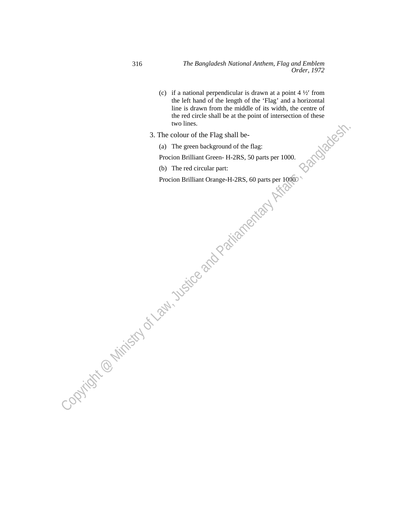- (c) if a national perpendicular is drawn at a point  $4\frac{1}{2}$  from the left hand of the length of the 'Flag' and a horizontal line is drawn from the middle of its width, the centre of the red circle shall be at the point of intersection of these<br>two lines.<br>
colour of the Flag shall be-<br>
The green background of the flag:<br>
ion Brilliant Green-H-2RS, 50 part-<br>
The red circular now<br>
ion F two lines. Procion Brilliant Orange-H-2RS, 60 parts per 1000.<br>
Procion Brilliant Orange-H-2RS, 50 parts per 1000.<br>
(b) The red circular proci:<br>
Procion Brilliant Orange-H-2RS, 60 parts per 1000.<br>
Procion Brilliant Orange-H-2RS, 60 p
	- 3. The colour of the Flag shall be-
	- (a) The green background of the flag:

Procion Brilliant Green- H-2RS, 50 parts per 1000.

(b) The red circular part: